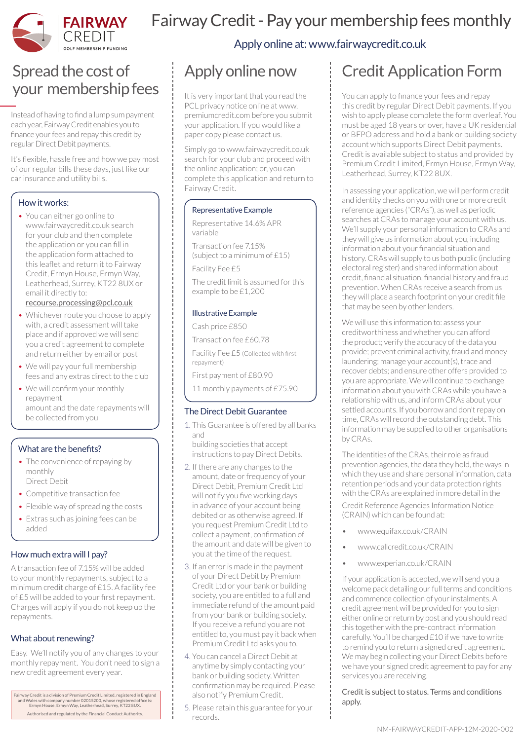

## Fairway Credit - Pay your membership fees monthly

Apply online at: www.fairwaycredit.co.uk

## Spread the cost of your membership fees

Instead of having to find a lump sum payment each year, Fairway Credit enables you to finance your fees and repay this credit by regular Direct Debit payments.

It's flexible, hassle free and how we pay most of our regular bills these days, just like our car insurance and utility bills.

### How it works:

• You can either go online to www.fairwaycredit.co.uk search for your club and then complete the application or you can fill in the application form attached to this leaflet and return it to Fairway Credit, Ermyn House, Ermyn Way, Leatherhead, Surrey, KT22 8UX or email it directly to:

recourse.processing@pcl.co.uk

- Whichever route you choose to apply with, a credit assessment will take place and if approved we will send you a credit agreement to complete and return either by email or post
- We will pay your full membership fees and any extras direct to the club
- We will confirm your monthly repayment amount and the date repayments will be collected from you

### What are the benefits?

- The convenience of repaying by monthly Direct Debit
- Competitive transaction fee
- Flexible way of spreading the costs • Extras such as joining fees can be added

### How much extra will I pay?

A transaction fee of 7.15% will be added to your monthly repayments, subject to a minimum credit charge of £15. A facility fee of £5 will be added to your first repayment. Charges will apply if you do not keep up the repayments.

### What about renewing?

Easy. We'll notify you of any changes to your monthly repayment. You don't need to sign a new credit agreement every year.

Fairway Credit is a division of Premium Credit Limited, registered in England and Wales with company number 02015200, whose registered office is: Ermyn House, Ermyn Way, Leatherhead, Surrey, KT22 8UX. Authorised and regulated by the Financial Conduct Authority.

# Apply online now

It is very important that you read the PCL privacy notice online at www. premiumcredit.com before you submit your application. If you would like a paper copy please contact us.

Simply go to www.fairwaycredit.co.uk search for your club and proceed with the online application; or, you can complete this application and return to Fairway Credit.

### Representative Example

Representative 14.6% APR variable

Transaction fee 7.15% (subject to a minimum of £15)

Facility Fee £5

The credit limit is assumed for this example to be £1,200

#### Illustrative Example

Cash price £850

Transaction fee £60.78

Facility Fee £5 (Collected with first repayment)

First payment of £80.90

11 monthly payments of £75.90

### The Direct Debit Guarantee

1. This Guarantee is offered by all banks and

building societies that accept instructions to pay Direct Debits.

- 2. If there are any changes to the amount, date or frequency of your Direct Debit, Premium Credit Ltd will notify you five working days in advance of your account being debited or as otherwise agreed. If you request Premium Credit Ltd to collect a payment, confirmation of the amount and date will be given to you at the time of the request.
- 3. If an error is made in the payment of your Direct Debit by Premium Credit Ltd or your bank or building society, you are entitled to a full and immediate refund of the amount paid from your bank or building society. If you receive a refund you are not entitled to, you must pay it back when Premium Credit Ltd asks you to.
- 4. You can cancel a Direct Debit at anytime by simply contacting your bank or building society. Written confirmation may be required. Please also notify Premium Credit.
- 5. Please retain this guarantee for your records.

## Credit Application Form

You can apply to finance your fees and repay this credit by regular Direct Debit payments. If you wish to apply please complete the form overleaf. You must be aged 18 years or over, have a UK residential or BFPO address and hold a bank or building society account which supports Direct Debit payments. Credit is available subject to status and provided by Premium Credit Limited, Ermyn House, Ermyn Way, Leatherhead, Surrey, KT22 8UX.

In assessing your application, we will perform credit and identity checks on you with one or more credit reference agencies ("CRAs"), as well as periodic searches at CRAs to manage your account with us. We'll supply your personal information to CRAs and they will give us information about you, including information about your financial situation and history. CRAs will supply to us both public (including electoral register) and shared information about credit, financial situation, financial history and fraud prevention. When CRAs receive a search from us they will place a search footprint on your credit file that may be seen by other lenders.

We will use this information to: assess your creditworthiness and whether you can afford the product; verify the accuracy of the data you provide; prevent criminal activity, fraud and money laundering; manage your account(s), trace and recover debts; and ensure other offers provided to you are appropriate. We will continue to exchange information about you with CRAs while you have a relationship with us, and inform CRAs about your settled accounts. If you borrow and don't repay on time, CRAs will record the outstanding debt. This information may be supplied to other organisations by CRAs.

The identities of the CRAs, their role as fraud prevention agencies, the data they hold, the ways in which they use and share personal information, data retention periods and your data protection rights with the CRAs are explained in more detail in the Credit Reference Agencies Information Notice (CRAIN) which can be found at:

- www.equifax.co.uk/CRAIN
- www.callcredit.co.uk/CRAIN
- www.experian.co.uk/CRAIN

If your application is accepted, we will send you a welcome pack detailing our full terms and conditions and commence collection of your instalments. A credit agreement will be provided for you to sign either online or return by post and you should read this together with the pre-contract information carefully. You'll be charged £10 if we have to write to remind you to return a signed credit agreement. We may begin collecting your Direct Debits before we have your signed credit agreement to pay for any services you are receiving.

Credit is subject to status. Terms and conditions apply.